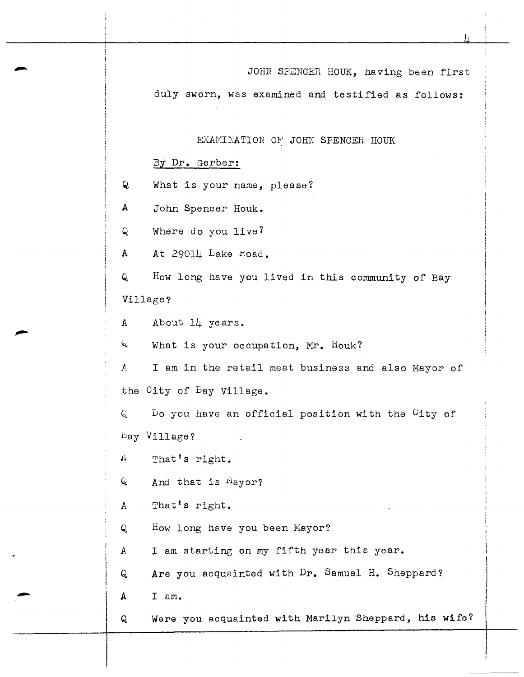JOHN SPENCER HOUK, having been first

duly sworn, was examined and testified as follows:

## EXAMINATION OF JOHN SPENCER HOUK

## By Dr. Gerber:

Q What is your name, please?

A John Spencer Houk.

Q Where do you live?

A At 29014 Lake hoad.

Q How long have you lived in this community of Bay Village?

A About 14 years.

 $\mathbb{R}$  What is your occupation, Mr. Houk?

*<sup>A</sup>*I am in the retail meat business and also Mayor of the City of Eay Village.

 $Q$  Do you have an official position with the  $C$ ity of bay Village?

A That's right.

Q And that is Mayor?

A That's right.

Q How long have you been Mayor?

A I am starting on my fifth year this year.

 $Q$  Are you acquainted with  $Dr$ . Samuel H. Sheppard?

A I am.

Q Were you acquainted with Marilyn Sheppard, his wife?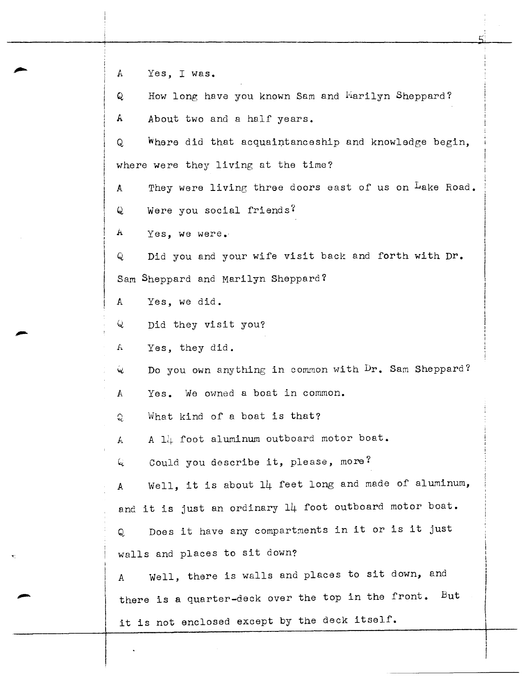A Yes, I was.

Q How long have you known Sam and Marilyn Sheppard? A About two and a half years. Q Where did that acquaintanceship and knowledge begin, where were they living at the time? A They were living three doors east of us on Lake Road. Q Were you social friends? A Yes, we were. Q Did you and your wife visit back and forth with Dr. Sam Sheppard and Marilyn Sheppard? A Yes, we did. 4 Did they visit you? A Yes, they did.  $Q$  Do you own anything in common with  $Dr$ . Sam Sheppard? A Yes. We owned a boat in common. Q What kind of a boat is that?  $A$  A l $\downarrow$  foot aluminum outboard motor boat.  $Q$  could you describe it, please, more? *<sup>A</sup>*Well, it is about 14 feet long and made of aluminum, and it is just an ordinary 14 foot outboard motor boat. Q Does it have any compartments in it or is it just walls and places to sit down? A Well, there is walls and places to sit down, and there is a quarter-deck over the top in the front. But it is not enclosed except by the deck itself.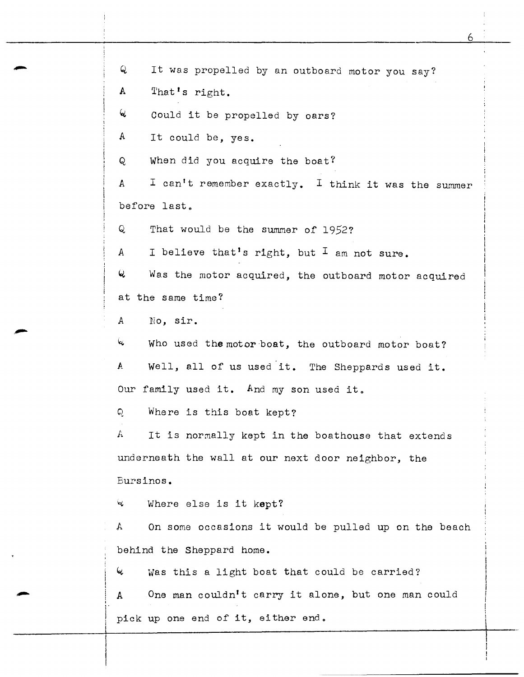Q It was propelled by an outboard motor you say? A That's right.  $\mathcal U$  could it be propelled by oars? *<sup>A</sup>*It could be, yes. Q When did you acquire the boat? A I can't remember exactly. I think it was the summer before last. Q That would be the summer of 1952? *<sup>A</sup>*I believe that's right, but I am not sure. 4 Was the motor acquired, the outboard motor acquired at the same time? *A* No, sir.  $\mathcal{L}$  Who used the motor boat, the outboard motor boat? <sup>A</sup>Well, all of us used it. The Sheppards used it. Our family used it. And my son used it. Q Where is this boat kept? *<sup>A</sup>*It is normally kept in the boathouse that extends underneath the wall at our next door neighbor, the Bursinos. Where else is it kept? A On some occasions it would be pulled up on the beach behind the Sheppard home. Was this a light boat that could be carried? !  $\mathbf{A}$ One man couldn't carry it alone, but one man could 1· I pick up one end of it, either end.

I

 $\overline{\phantom{a}}$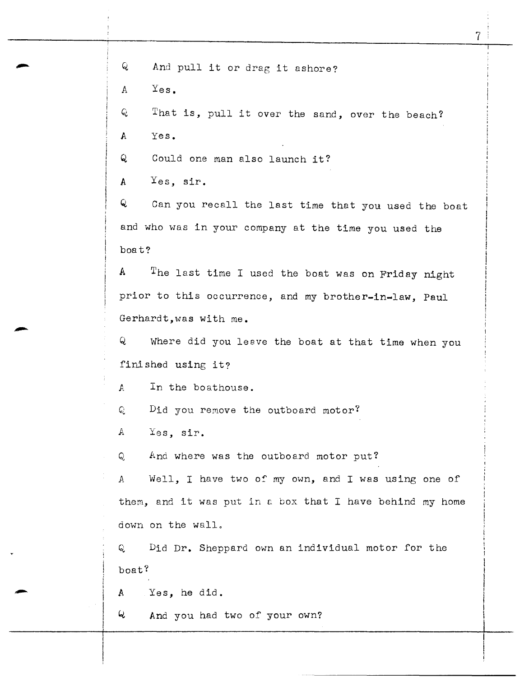Q And pull it or drag it ashore? A Yes. Q That is, pull it over the sand, over the beach? A Yes. Q Could one man also launch it?  $A$  Yes, sir. Q Can you recall the last time that you used the boat and who was in your company at the time you used the boat? A The last time I used the boat was on Friday night prior to this occurrence, and my brother-in-law, Paul Gerhardt,was with me. Q Where did you leeve the boat at that time when you finished using it? *A* In the bosthouse. Q Did you remove the outboard motor? A Yes, sir. Q And where was the outboard motor put? A Well, I have two of my own, and I was using one of them, and it was put in c box that I have behind my home down on the wall. Q Did Dr. Sheppard own an individual motor for the boat? Yes, he did.  $\mathbf{A}$ And you had two of your own? Q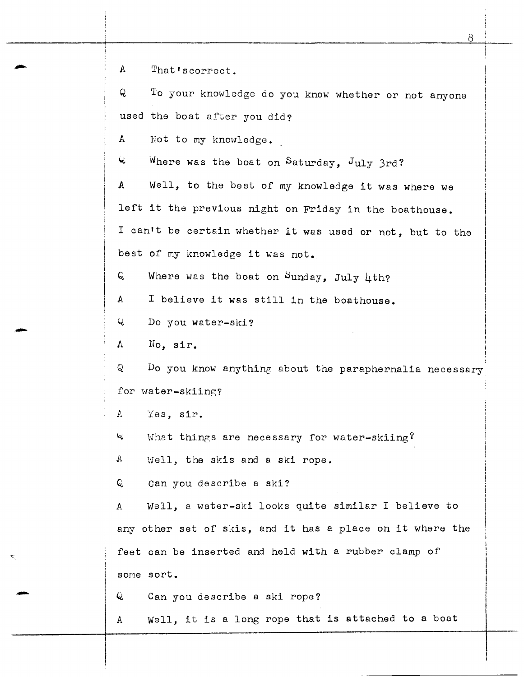A That'scorrect.

 $Q$   $I$ o your knowledge do you know whether or not anyone used the boat after you did?

A Not to my knowledge.

 $\omega$  Where was the boat on Saturday, July 3rd?

A Well, to the best of my knowledge it was where we left it the previous night on Friday in the boathouse. I can't be certain whether it was used or not, but to the best of my knowledge it was not.

Q Where was the boat on Sunday, July  $\mu$ th?

A I believe it was still in the boathouse.

Q Do you water-ski?

A No, sir.

 $Q$  Do you know anything about the paraphernalia necessary for water-skiing?

*P.* Yes, sir.

'-

 $\mathcal{L}$  What things are necessary for water-skiing?

A Well, the skis and a ski rope.

Q can you describe e ski?

A Well, a water-ski looks quite similar I believe to any other set of skis, and it has a place on it where the feet can be inserted and held with a rubber clamp of some sort.

 $\mathbf Q$ Can you describe a ski rope?

A Well, it is a long rope that is attached to a boat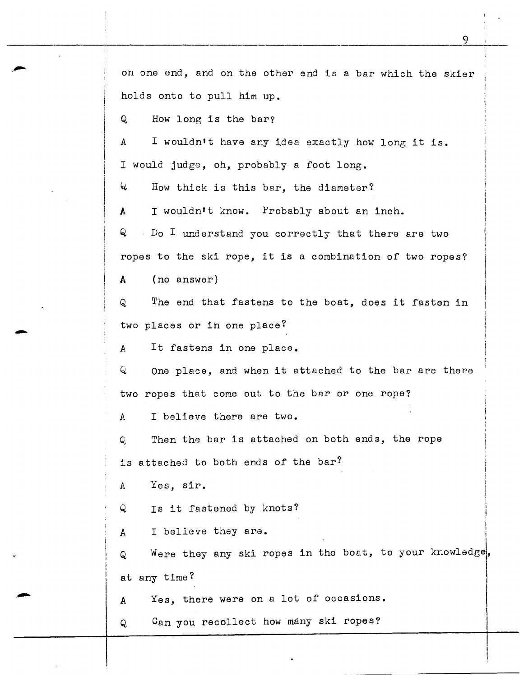on one end, and on the other end is a bar which the skier holds onto to pull him up.

Q How long is the bar?

A I wouldn't have any idea exactly how long it is. I would judge, oh, probably a foot long.

 $\mathcal{H}$  How thick is this bar, the diameter?

A I wouldn't know. Probably about an inch.

 $Q$  Do I understand you correctly that there are two ropes to the ski rope, it is a combination of two ropes?

A (no answer)

Q The end that fastens to the boat, does it fasten in two places or in one place?

A It fastens in one place.

Q One place, and when it attached to the bar are there two ropes that come out to the bar or one rope?

A I believe there are two.

Q Then the bar is attached on both ends, the rope is attached to both ends of the bar?

A Yes, sir.

Q Is it fastened by knots?

A I believe they are.

Q Were they any ski ropes in the boat, to your knowledge, at any time?

A Yes, there were on a lot of occasions.

Q Can you recollect how many ski ropes?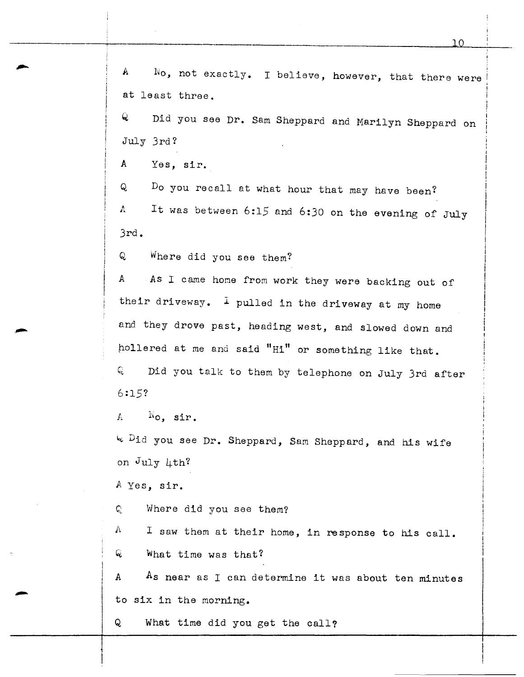$A$   $N$ o, not exactly. I believe, however, that there were at least three.

Q Did you see Dr. Sam Sheppard and Marilyn Sheppard on July 3rd?

<sup>A</sup>Yes, sir.

Q Do you recall at what hour that may have been? A It was between 6:15 and 6:30 on the evening of July 3rd.

Q Where did you see them?

A As I came home from work they were backing out of their driveway.  $I$  pulled in the driveway at my home and they drove past, heading west, and slowed down and hollered at me and said  $"$ Hi" or something like that. Q Did you talk to them by telephone on July 3rd after

6:15?

 $A = N_0$ , sir.

<sup>~</sup>Did you see Dr. Sheppard, Sam Sheppard, and his wife on  $July$  4th?

*A Yes,* sir.

Q Where did you see them?

 $^\textrm{A}$  . I saw them at their home, in response to his call. Q What time was that?

A  $A$ s near as I can determine it was about ten minutes to six in the morning.

Q What time did you get the call?

I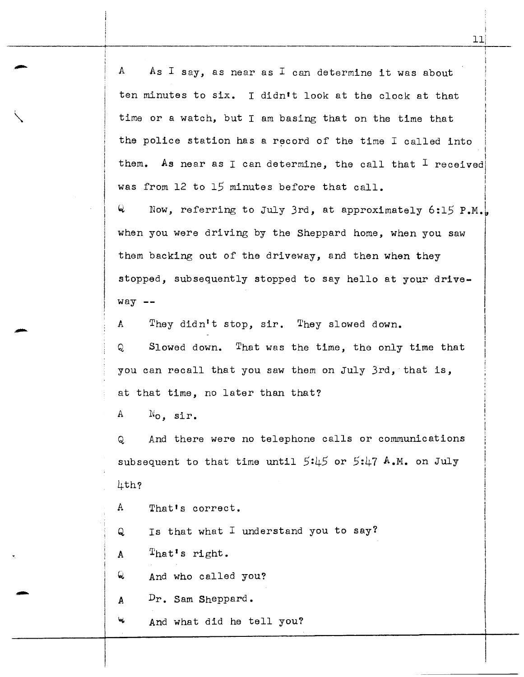A As I say, as near as I can determine it was about ten minutes to six. I didn't look at the clock at that I i time or a watch, but I am basing that on the time that I l the police station has a record of the time I called into I I them. As near as I can determine, the call that  $I$  received I was from 12 to 15 minutes before that call. i

Q Now, referring to July 3rd, at approximately 6:15 P.M. when you were driving by the Sheppard home, when you saw them backing out of the driveway, and then when they stopped, subsequently stopped to say hello at your drive $way$   $--$ 

A They didn't stop, sir. They slowed down.

Q Slowed down. That was the time, the only time that you can recall that you saw them on July 3rd, that is, at that time, no later than that?

 $A$   $N_0$ , sir.

 $\searrow$ 

Q And there were no telephone calls or communications subsequent to that time until  $5:45$  or  $5:47$  A.M. on July 4th?

A That's correct.

 $Q$  Is that what I understand you to say?

 $A$  That's right.

Q And who called you?

A Dr. Sam Sheppard.

w And what did he tell you?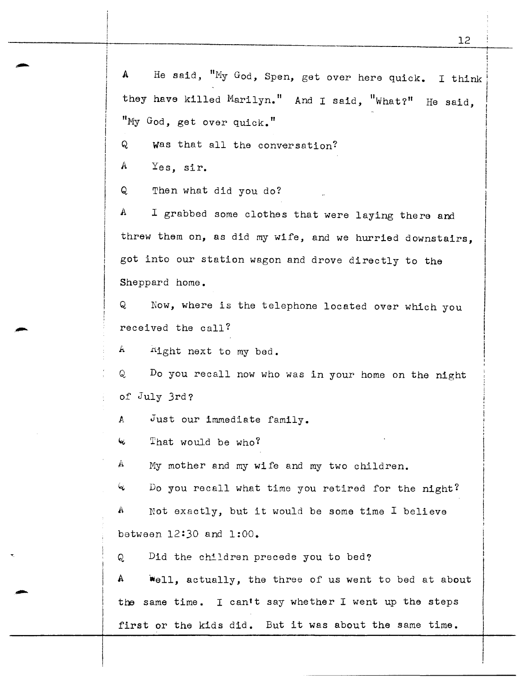A He said, "My God, Spen, get over here quick. I think they have killed Marilyn." And I said, "What?" He said, "My God, get over quick."

Q was that all the conversation?

A Yes, sir.

Q Then what did you do?

 $\mathtt{A}$  a  $\mathtt{I}$  grabbed some clothes that were laying there and threw them on, as did my wife, and we hurried downstairs, got into our station wagon and drove directly to the Sheppard home.

Q Now, where is the telephone located over which you received the call?

*A* night next to my bed.

Q Do you recall now who was in your home on the night of July 3rd?

A Just our immediate family.

 $\epsilon$  That would be who?

 $^\textrm{A}$  My mother and my wife and my two children.

 $\mathcal{L}$  Do you recall what time you retired for the night?

A Not exactly, but it would be some time I believe between 12!30 and 1:00.

Q Did the children precede you to bed?

 $A$   $W$ ell, actually, the three of us went to bed at about the same time. I can't say whether I went up the steps first or the kids did. But it was about the same time.

I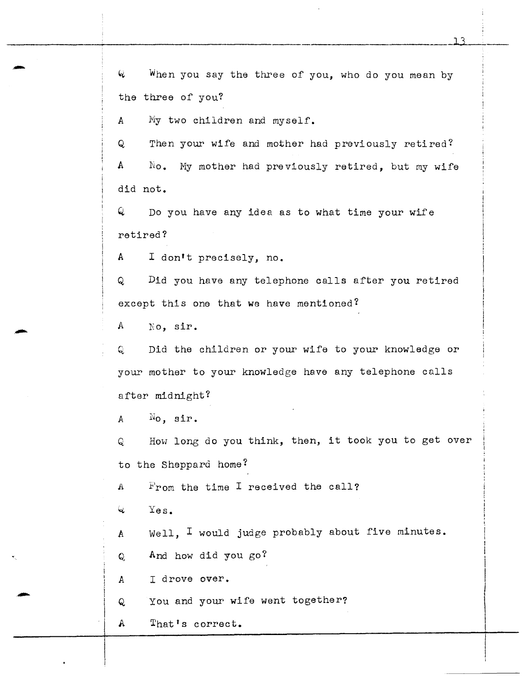$Q$  When you say the three of you, who do you mean by the three of you?

 $A$  My two children and myself.

Q Then your wife and mother had previously retired? A No. My mother had previously retired, but my wife did not.

Q Do you have any idea as to what time your wife retired?

A I don't precisely, no.

Q Did you have any telephone calls after you retired except this one that we have mentioned?

A No, sir.

Q Did the children or your wife to your knowledge or your mother to your knowledge have any telephone calls after midnight?

 $A$   $N_0$ , sir.

Q How long do you think, then, it took you to get over to the Sheppard home?

A From the time I received the call?

 $Q$   $Yes$ .

I

i

 $\overline{\phantom{a}}$ 

 $A$  Well. I would judge probably about five minutes.

Q, And how did you go?

 $\overline{A}$ I drove over.

 $\mathsf Q$ You and your wife went together?

A That's correct.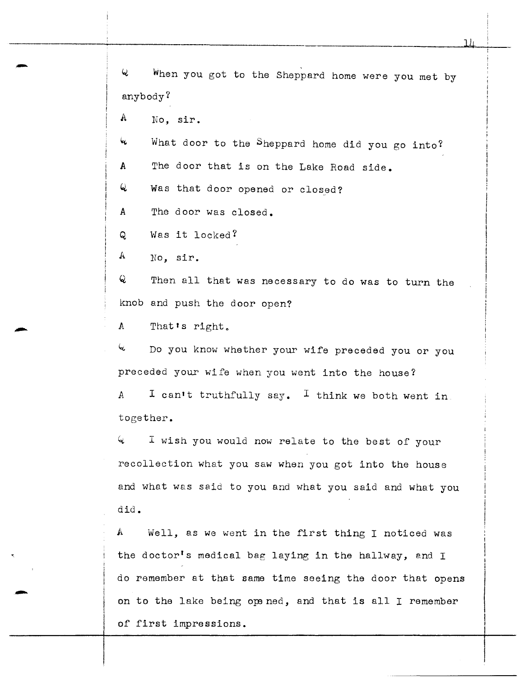4 When you got to the Sheppard home were you met by anybody? A No, sir.  $\omega$  What door to the Sheppard home did you go into? A The door that is on the Lake Road side.  $Q$  Was that door opened or closed? *A* The door was closed. Q Was it locked? A No, sir. Q Then all that was necessary to do was to turn the knob and push the door open? A That's right. <sup>~</sup>Do you know whether your wife preceded you or you preceded your wife when you went into the house? A I can't truthfully say. I think we both went in together.  $Q = I$  wish you would now relate to the best of your recollection what you saw when you got into the house

and what was said to you and what you said and what you did.

A Well, as we went in the first thing I noticed was the doctor's medical bag laying in the hallway, and I do remember at that same time seeing the door that opens on to the lake being opened, and that is all I remember of first impressions.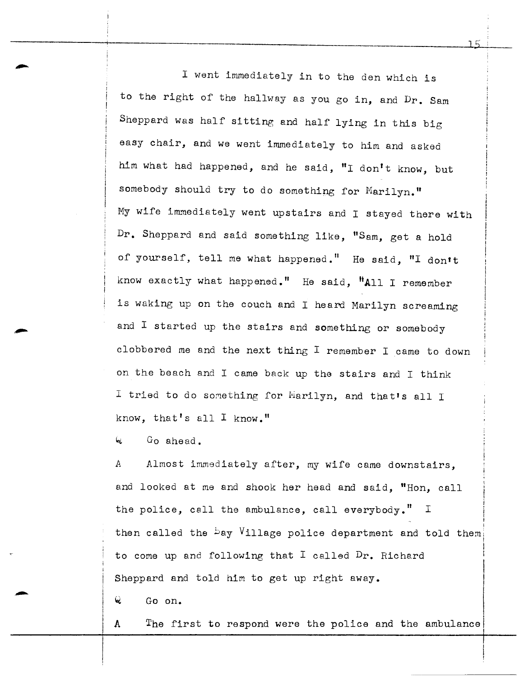I went immediately in to the den which is to the right of the hallway as you go *in,* and Dr. Sam Sheppard was half sitting and half lying in this big easy chair, and we went immediately to him and asked him what had happened, and he said, "I don't know, but somebody should try to do something for Marilyn." My wife immediately went upstairs and I stayed there with Dr. Sheppard and said something like, "Sam, get a hold of yourself, tell me what happened." He said, "I don't know exactly what happened." He said, **ttAll** I remember is waking up on the couch and I heard Marilyn screaming and I started up the stairs and something or somebody clobbered me and the next thing I remember I came to down on the beach and I came back up the stairs and I think I tried to do something for Marilyn, and that's all I know, that's all  $I$  know."

 $\omega$  Go ahead.

*A* Almost immediately after, my wife came downstairs, and looked at me and shook her head and said, "Hon, call the police, call the ambulance, call everybody." I then called the  $bg$  Village police department and told them to come up and following that I called  $Dr$ . Richard Sheppard and told him to get up right away.

Go on. Q

 ${\tt A}$  . The first to respond were the police and the ambulance

i l  $\mathbf{I}$ 

 $\vert$ 

 $\overline{\mathbb{L}}$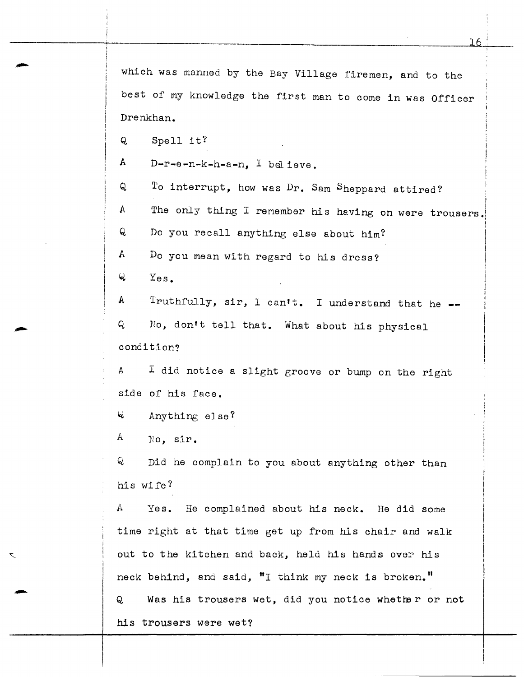which was manned by the Bay Village firemen, and to the best of my knowledge the first man to come in was Officer Drenkhan.

Q Spell it?

 $A$  D-r-e-n-k-h-a-n, I believe.

To interrupt, how was Dr. Sam Sheppard attired?  $Q$ The only thing I remember his having on were trousers. A Q Do you recall anything else about him? A Do you mean with regard to his dress?  $\omega$   $Y_{\text{es}}$ .

 $A$  Truthfully, sir, I can't. I understand that he  $-$ Q No, don't tell that. What about his physical condition?

*<sup>A</sup>*I did notice a slight groove or bump on the right side of his face.

 $Q$  Anything else?

A **No.** sir.

Q bid he complain to you about anything other than his wife?

 $A$  Yes. He complained about his neck. He did some time right at that time get up from his chair and walk out to the kitchen and back, held his hands over his neck behind, and said,  $"I$  think my neck is broken." Q Was his trousers wet, did you notice whether or not his trousers were wet?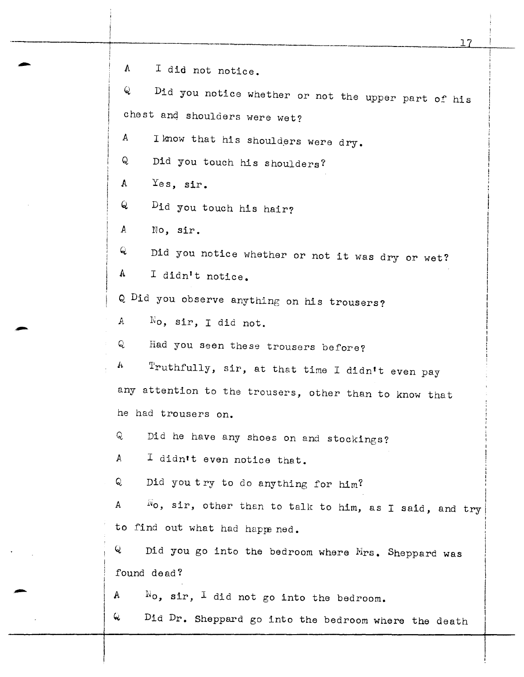A I did not notice. Q Did you notice whether or not the upper part of his chest and shoulders were wet? A I know that his shoulders were dry. Q Did you touch his shoulders? A Yes, sir. Q Did you touch his hair? A No, sir. Q Did you notice whether or not it was dry or wet? A I didn't notice. Q Did you observe anything on his trousers? A  $N_0$ , sir, I did not. Q Had you seen these trousers before?  $A$  Truthfully, sir, at that time I didn't even pay any attention to the trousers, other than to know that he had trousers on. Q Did he have any shoes on and stockings? A I didntt even notice that. Q Did you try to do anything for him? I I i  $\mathbf{i}$ I ' I I I A  $\hskip.1cm$   $\tilde{\text{No}}$ , sir, other than to talk to him, as I said, and try '<br>! to find out what had happe ned. Q. Did you go into the bedroom where Mrs. Sheppard was found dead?  $A$  No, sir, I did not go into the bedroom.  $Q$  Did Dr. Sheppard go into the bedroom where the death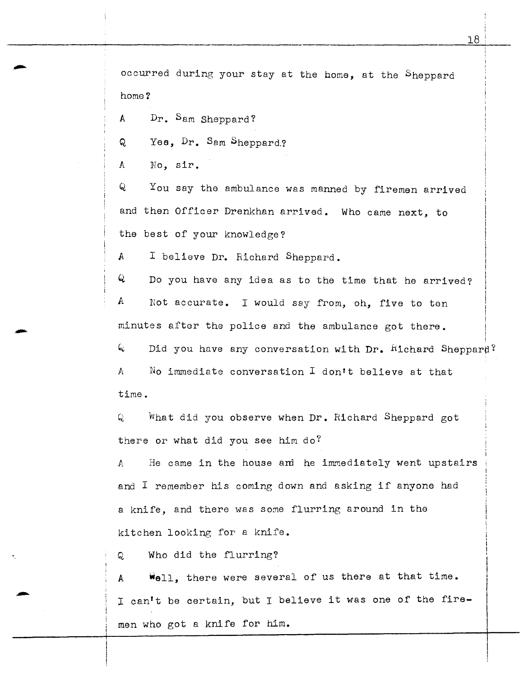occurred during your stay at the home, at the Sheppard home?

A Dr. Sam Sheppard?

Q Yes, Dr. Sam Sheppard.?

A No, sir.

Q You say the ambulance was manned by firemen arrived and then Officer Drenkhan arrived. Who came next, to the best of your knowledge?

*A* I believe Dr. Richard Sheppard.

 $Q$  Do you have any idea as to the time that he arrived?  $A$  Not accurate. I would say from, oh, five to ten minutes after the police and the ambulance got there.

 $Q$  Did you have any conversation with Dr.  $R_1$  Eichard Sheppard? *A* No immediate conversation I don't believe at that time.

Q What did you observe when Dr. Richard Sheppard got there or what did you see him do?

A He came in the house am he immediately went upstairs and I remember his coming down and asking if anyone had a knife, and there was some flurring around in the kitchen looking for a knife.

Q Who did the flurring?

<sup>A</sup>**Well,** there were several of us there at that time. I can't be certain, but I believe it was one of the firemen who got a knife for him.

! I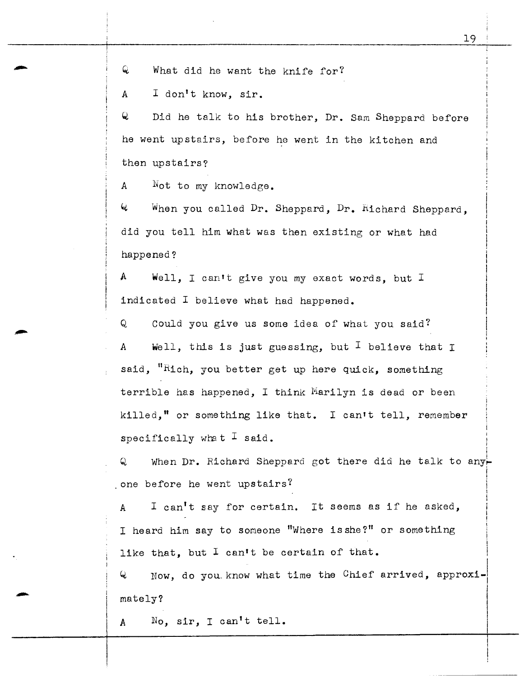Q What did he want the knife for?

A I don't know, sir.

Q Did he talk to his brother, Dr. Sam Sheppard before he went upstairs, before he went in the kitchen and then upstairs?

A Not to my knowledge.

 $\mathcal{Q}$  When you called Dr. Sheppard, Dr. Richard Sheppard. did you tell him what was then existing or what had happened?

A Well, I can't give you my exact words, but I indicated I believe what had happened.

Q Could you give us some idea of what you said? A Well, this is just guessing, but  $\texttt{I}$  believe that  $\texttt{I}$ said, "Rich, you better get up here quick, something terrible has happened, I think Marilyn is dead or been killed," or something like that. I can't tell, remember specifically what  $I$  said.

 $Q$  When Dr. Richard Sheppard got there did he talk to anyi one before he went upstairs? I i !

A I can't say for certain. It seems as if he asked, I heard him say to someone "Where is she?" or something like that, but  $I$  can't be certain of that.

Q Now, do you\_ know what time the Chief arrived, approxi-1 mately?

A No, sir, I can't tell.

i

l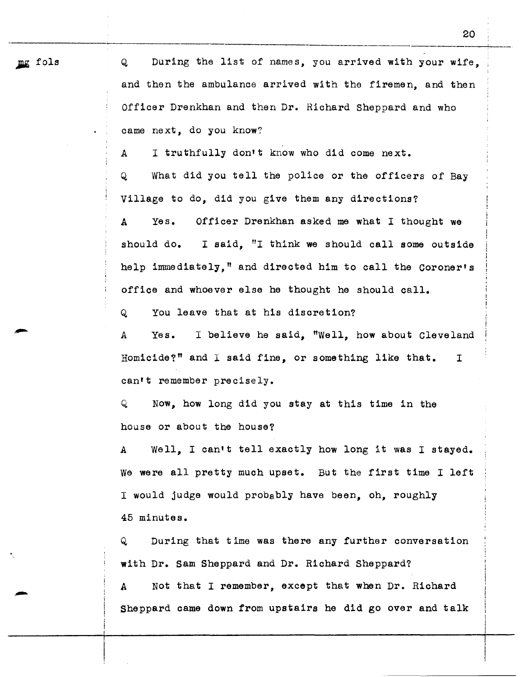• fols

Q During the list of names, you arrived with your wife, and then the ambulance arrived with the firemen, and then Officer Drenkhan and then Dr. Richard Sheppard and who came next, do you know?

A I truthfully don•t know who did come next.

Q What did you tell the police or the officers of Bay Village to do, did you give them any directions?

A Yes. Officer Drenkhan asked me what I thought we should do. I said, "I think we should call some outside help immediately," and directed him to call the Coroner's office and whoever else he thought he should call.

Q You leave that at his discretion?

A Yes. I believe he said, "Well, how about Cleveland Homicide?" and I said fine, or something like that. I can't remember precisely.

Q Now, how long did you stay at this time in the house or about the house?

A Well, I can't tell exactly how long it was I stayed. we were all pretty much upset. But the first time I left I would judge would probably have been, oh, roughly 45 minutes.

Q During that time was there any further conversation with Dr. Sam Sheppard and Dr. Richard Sheppard?

A Not that I remember, except that when Dr. Richard Sheppard came down from upstairs he did go over and talk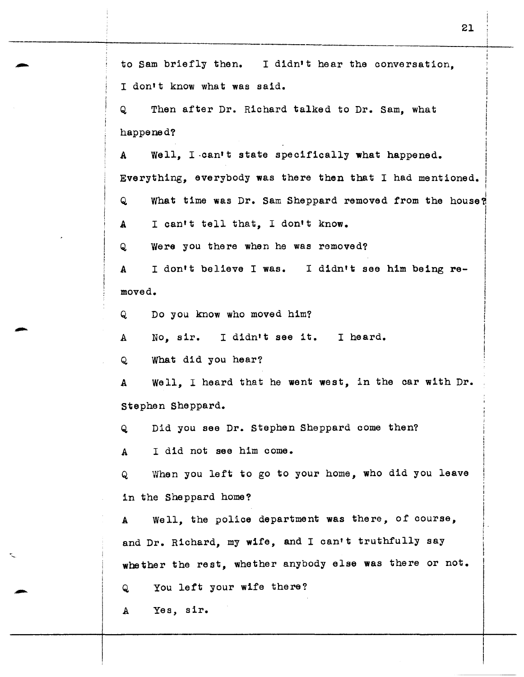to Sam briefly then. I didn't hear the conversation. I don't know what was said. Q Then after Dr. Richard talked to Dr. Sam, what happened? A Well, I can't state specifically what happened. Everything, everybody was there then that I had mentioned. Q What time was Dr. Sam Sheppard removed from the house? <sup>A</sup><sup>I</sup>can•t tell that, I don•t know. Q were you there when he was removed? A I don't believe I was. I didn't see him being removed. Q Do you know who moved him? A No, sir. I didn•t see it. I heard. Q What did you hear? A Well, I heard that he went west, in the car with Dr. Stephen Sheppard. Q Did you see Dr. Stephen Sheppard come then? A I did not see him come. Q When you left to go to your home, who did you leave in the Sheppard home? A Well, the police department was there, of course, and Dr. Richard, my wife, and I can't truthfully say whether the rest, whether anybody else was there or not. Q You left your wife there? <sup>A</sup>Yes, sir.  $\mathbf{I}$  $\vert$  $\mathbf{I}$ I  $\mathbf{I}$  . i i I I I I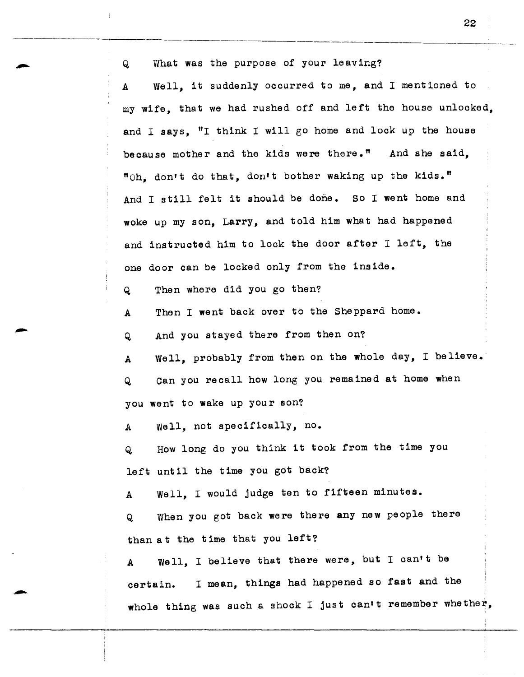Q What was the purpose of your leaving? A Well, it suddenly occurred to me, and I mentioned to my wife, that we had rushed off and left the house unlocked, and I says, "I think I will go home and lock up the house because mother and the kids were there." And she said, "Oh, don't do that, don't bother waking up the kids." And I still felt it should be done. So I went home and woke up my son, Larry, and told him what had happened and instructed him to lock the door after I left, the one door can be locked only from the inside. Q Then where did you go then? A Then I went back over to the Sheppard home. Q And you stayed there from then on? A Well, probably from then on the whole day, I believe. Q can you recall how long you remained at home when you went to wake up your son? A Well, not specifically, no. Q How long do you think it took from the time you left until the time you got back? A Well, I would judge ten to fifteen minutes. Q When you got back were there any new people there than at the time that you left? A Well, I believe that there were, but I can't be certain. I mean, things had happened so fast and the whole thing was such a shock I just can't remember whether,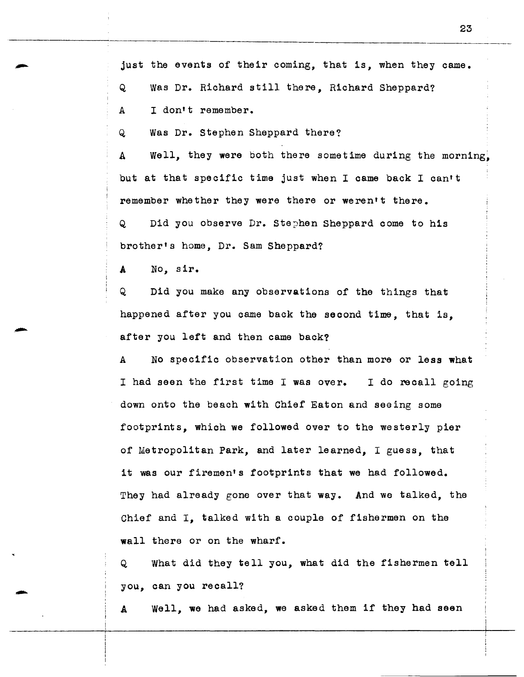just the events of their coming, that is, when they came. <sup>Q</sup>was Dr. Richard still there, Richard Sheppard? A I don't remember.

Q Was Dr. Stephen Sheppard there?

A Well, they were both there sometime during the morning. but at that specific time just when I came back I can't remember whether they were there or weren't there.

Q Did you observe Dr. Stephen Sheppard come to his brother's home, Dr. Sam Sheppard?

A No, sir.

Q Did you make any observations of the things that happened after you came back the second time, that is, after you left and then came back?

A No specific observation other than more or less what I had seen the first time I was over. I do recall going down onto the beach with Chief Eaton and seeing some footprints, which we followed over to the westerly pier of Metropolitan Park, and later learned, I guess, that it was our firemen's footprints that we had followed. They had already gone over that way. And we talked, the Chief and *I,* talked with a couple of fishermen on the wall there or on the wharf.

Q What did they tell you, what did the fishermen tell you, can you recall?

A Well, we had asked, we asked them if they had seen

-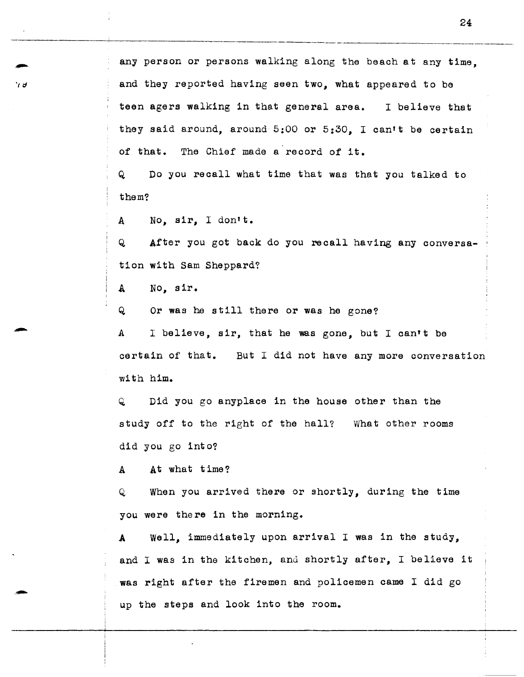any person or persons walking along the beach at any time, and they reported having seen two, what appeared to be teen agers walking in that general area. I believe that they said around, around  $5:00$  or  $5:30$ . I can't be certain of that. The Chief made a record of it.

Q Do you recall what time that was that you talked to them?

A No. sir. I don't.

Q After you got back do you recall having any conversation with Sam Sheppard?

<sup>A</sup>No, sir.

Q Or was he still there or was he gone?

A I believe, sir, that he was gone, but I can't be certain of that. But I did not have any more conversation with him.

Q Did you go anyplace in the house other than the study off to the right of the hall? What other rooms did you go into?

A At what time?

-

Q When you arrived there or shortly, during the time you were there in the morning.

A Well, immediately upon arrival I was in the study, and I was in the kitchen, and shortly after, I believe it was right after the firemen and policemen came I did go up the steps and look into the room.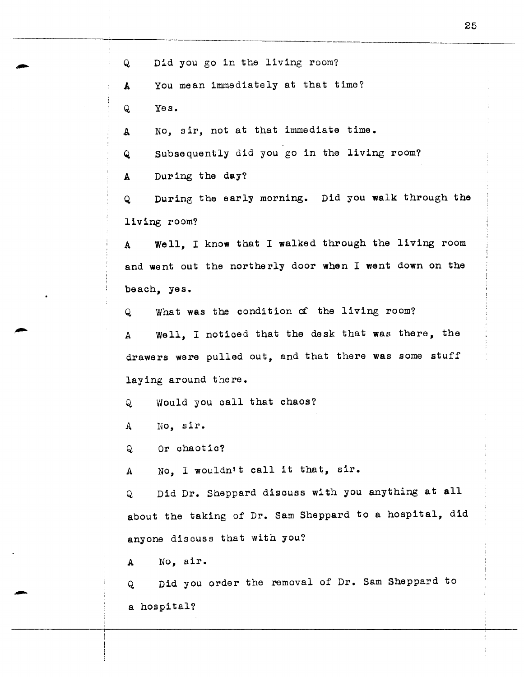Q Did you go in the living room?

A You mean immediately at that time?

Q Yes.

A No, sir, not at that immediate time.

Q Subsequently did you go in the living room?

A During the day?

Q During the early morning. Did you walk through the living room?

A Well, I know that I walked through the living room and went out the northerly door when I want down on the beach, yes.

Q What was the condition of the living room?

A Well, I noticed that the desk that was there, the drawers were pulled out, and that there was some stuff laying around there.

Q Would you call that chaos?

A No, sir.

Q Or chaotic?

A No, I wouldn't call it that, sir.

Q Did Dr. Sheppard discuss with you anything at all about the taking of Dr. Sam Sheppard to a hospital, did anyone discuss that with you?

A No, sir.

Q Did you order the removal of Dr. Sam Sheppard to a hospital?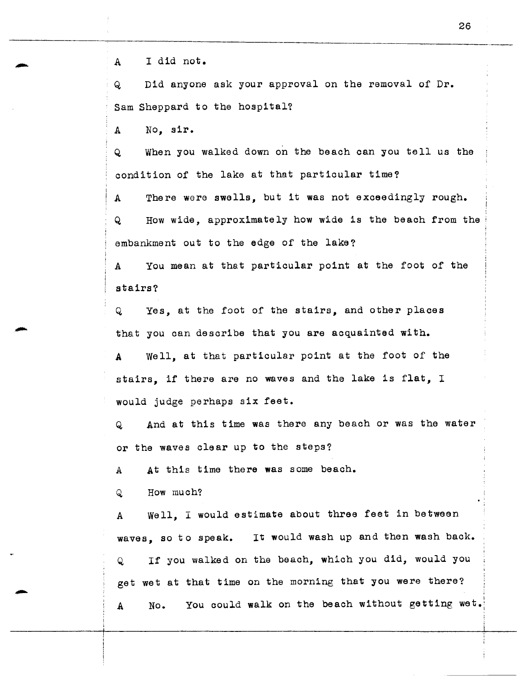A I did not.

Q Did anyone ask your approval on the removal of Dr. Sam Sheppard to the hospital?

A No, sir.

Q When you walked down on the beach can you tell us the condition of the lake at that particular time?

A There were swells, but it was not exceedingly rough. Q How wide, approximately how wide is the beach from the; embankment out to the edge of the lake?

A You mean at that particular point at the foot of the stairs?

Q Yes, at the foot of the stairs, and other places that you can describe that you are acquainted with.

A Well, at that particular point at the foot of the stairs, if there are no waves and the lake is flat, <sup>I</sup> would judge perhaps six feet.

Q And at this time was there any beach or was the water or the waves clear up to the steps?

A At this time there was some beach.

 $Q$  How much?

A Well, I would estimate about three feet in between waves, so to speak. It would wash up and then wash back. Q If you walked on the beach, which you did, would you get wet at that time on the morning that you were there?  $A$  No. You could walk on the beach without getting wet.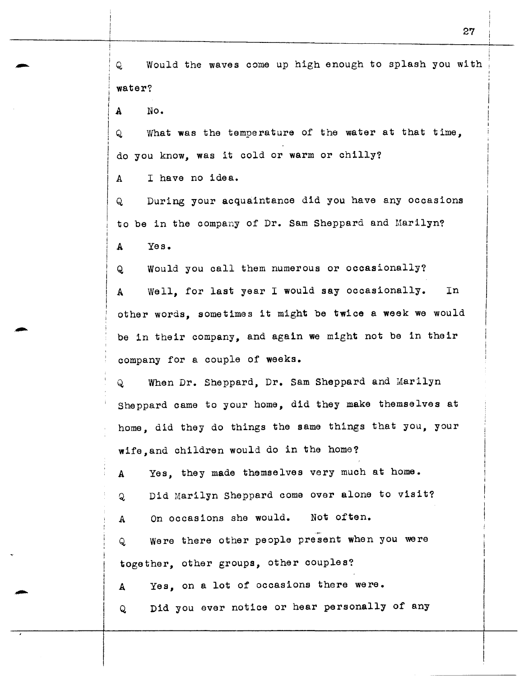Q Would the waves come up high enough to splash you with water?

A No.

Q What was the temperature of the water at that time, do you know, was it cold or warm or chilly?

A I have no idea.

Q During your acquaintance did you have any occasions to be in the company of Dr. Sam Sheppard and Marilyn? A Yes.

Q, Would you call them numerous or occasionally?

A Well, for last year I would say occasionally. In other words, sometimes it might be twice a week we would be in their company, and again we might not be in their company for a couple of weeks.

Q When Dr. Sheppard, Dr. Sam Sheppard and Marilyn Sheppard came to your home, did they make themselves at home, did they do things the same things that you, your wife,and children would do in the home?

A Yes, they made themselves very much at home. Q Did Marilyn Sheppard come over alone to visit? A On occasions she would. Not often. Q were there other people present when you were together, other groups, other couples? A Yes, on a lot of occasions there were.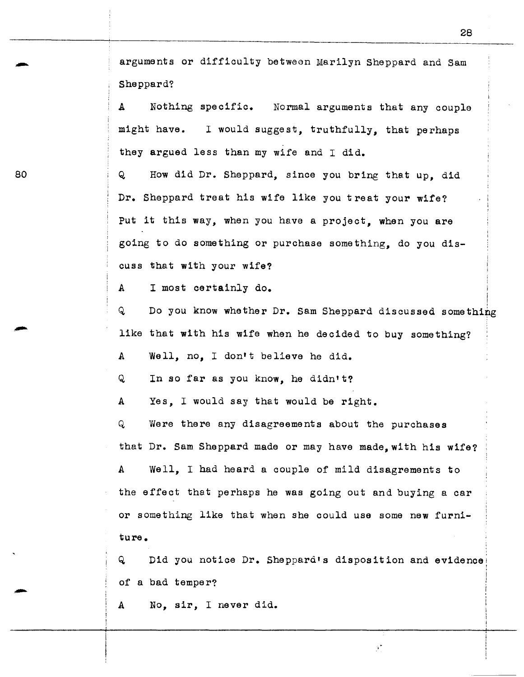arguments or difficulty between Marilyn Sheppard and Sam Sheppard?

A Nothing specific. Normal arguments that any couple might have. I would suggest, truthfully, that perhaps they argued less than my wife and I did.

Q How did Dr. Sheppard, since you bring that up, did Dr. Sheppard treat his wife like you treat your wife? Put it this way, when you have a project, when you are going to do something or purchase something, do you discuss that with your wife?

A I most certainly do.

80

Q Do you know whether Dr. Sam Sheppard discussed something like that with his wife when he decided to buy something?

A Well, no, I don't believe he did.

Q In so far as you know, he didn't?

A Yes, I would say that would be right.

Q Were there any disagreements about the purchases that Dr. Sam Sheppard made or may have made, with his wife?

A Well, I had heard a couple of mild disagrements to the effect that perhaps he was going out and buying a car or something like that when she could use soma new furniture.

Q Did you notice Dr. Sheppard's disposition and evidence of a bad temper?

Ĵ.

A No, air, I never did.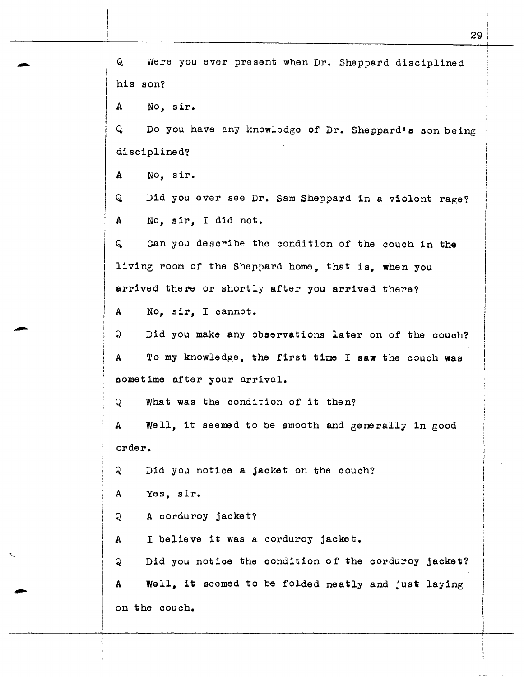Q Were you ever present when Dr. Sheppard disciplined his son? A No, sir. Q Do you have any knowledge of Dr. Sheppard's son being disciplined? A No, sir. Q Did you ever see Dr. Sam Sheppard in a violent rage? A No, sir, I did not. Q Can you describe the condition of the couch in the living room of the Sheppard home, that is, when you arrived there or shortly after you arrived there? A No, sir, I cannot. Q Did you make any observations later on of the couch? A To my knowledge, the first time I saw the couch was sometime after your arrival. Q What was the condition of it then? A Well, it seemed to be smooth and generally in good order. Q Did you notice a jacket on the couch? A Yes, sir. Q A corduroy jacket? A I believe it was a corduroy jacket. Q Did you notice the condition of the corduroy jacket? A Well, it seemed to be folded neatly and just laying on the couch.

29 *<sup>i</sup>*